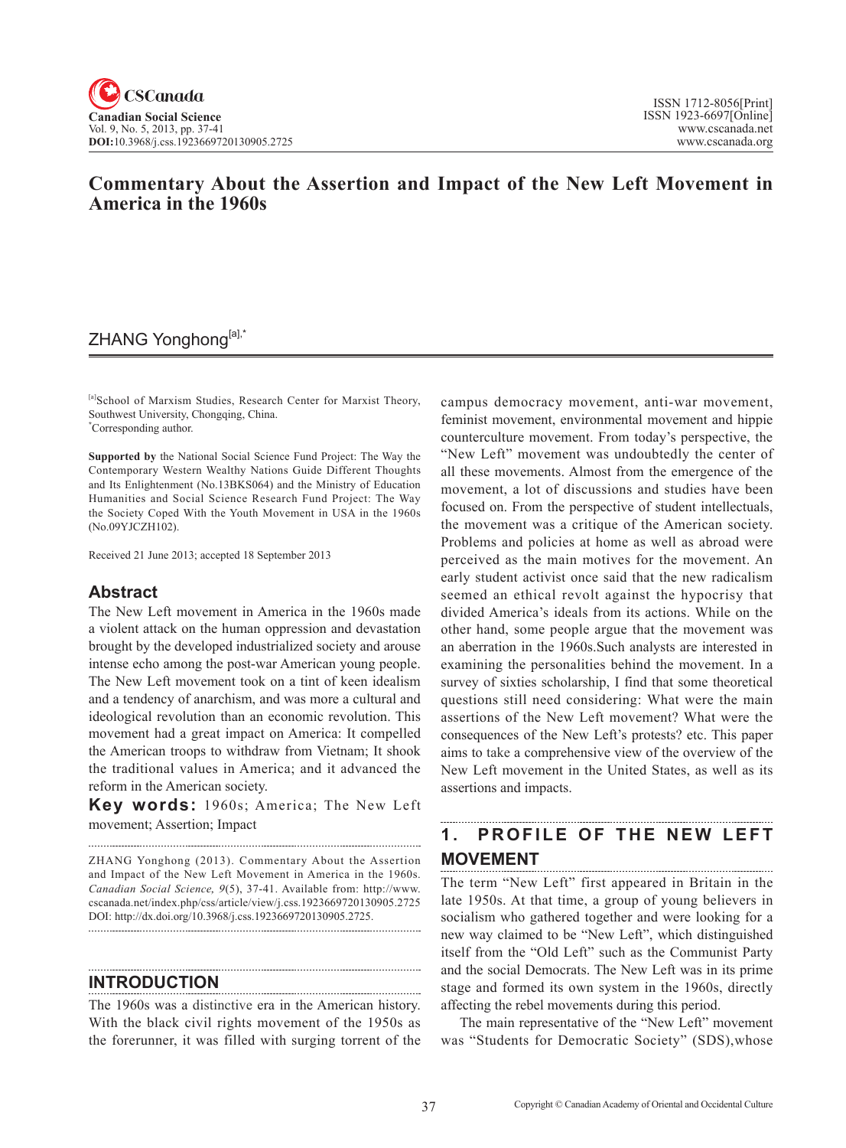# **Commentary About the Assertion and Impact of the New Left Movement in America in the 1960s**

# ZHANG Yonghong[a],\*

[a]School of Marxism Studies, Research Center for Marxist Theory, Southwest University, Chongqing, China. **\*** Corresponding author.

**Supported by** the National Social Science Fund Project: The Way the Contemporary Western Wealthy Nations Guide Different Thoughts and Its Enlightenment (No.13BKS064) and the Ministry of Education Humanities and Social Science Research Fund Project: The Way the Society Coped With the Youth Movement in USA in the 1960s (No.09YJCZH102).

Received 21 June 2013; accepted 18 September 2013

# **Abstract**

The New Left movement in America in the 1960s made a violent attack on the human oppression and devastation brought by the developed industrialized society and arouse intense echo among the post-war American young people. The New Left movement took on a tint of keen idealism and a tendency of anarchism, and was more a cultural and ideological revolution than an economic revolution. This movement had a great impact on America: It compelled the American troops to withdraw from Vietnam; It shook the traditional values in America; and it advanced the reform in the American society.

**Key words:** 1960s; America; The New Left movement; Assertion; Impact

ZHANG Yonghong (2013). Commentary About the Assertion and Impact of the New Left Movement in America in the 1960s. *Canadian Social Science*, <sup>9</sup>(5), 37-41. Available from: http://www. cscanada.net/index.php/css/article/view/j.css.1923669720130905.2725 DOI: http://dx.doi.org/10.3968/j.css.1923669720130905.2725.

**INTRODUCTION**

The 1960s was a distinctive era in the American history. With the black civil rights movement of the 1950s as the forerunner, it was filled with surging torrent of the

campus democracy movement, anti-war movement, feminist movement, environmental movement and hippie counterculture movement. From today's perspective, the "New Left" movement was undoubtedly the center of all these movements. Almost from the emergence of the movement, a lot of discussions and studies have been focused on. From the perspective of student intellectuals, the movement was a critique of the American society. Problems and policies at home as well as abroad were perceived as the main motives for the movement. An early student activist once said that the new radicalism seemed an ethical revolt against the hypocrisy that divided America's ideals from its actions. While on the other hand, some people argue that the movement was an aberration in the 1960s.Such analysts are interested in examining the personalities behind the movement. In a survey of sixties scholarship, I find that some theoretical questions still need considering: What were the main assertions of the New Left movement? What were the consequences of the New Left's protests? etc. This paper aims to take a comprehensive view of the overview of the New Left movement in the United States, as well as its assertions and impacts.

#### 1. PROFILE OF THE NEW LEFT **MOVEMENT**

The term "New Left" first appeared in Britain in the late 1950s. At that time, a group of young believers in socialism who gathered together and were looking for a new way claimed to be "New Left", which distinguished itself from the "Old Left" such as the Communist Party and the social Democrats. The New Left was in its prime stage and formed its own system in the 1960s, directly affecting the rebel movements during this period.

The main representative of the "New Left" movement was "Students for Democratic Society" (SDS),whose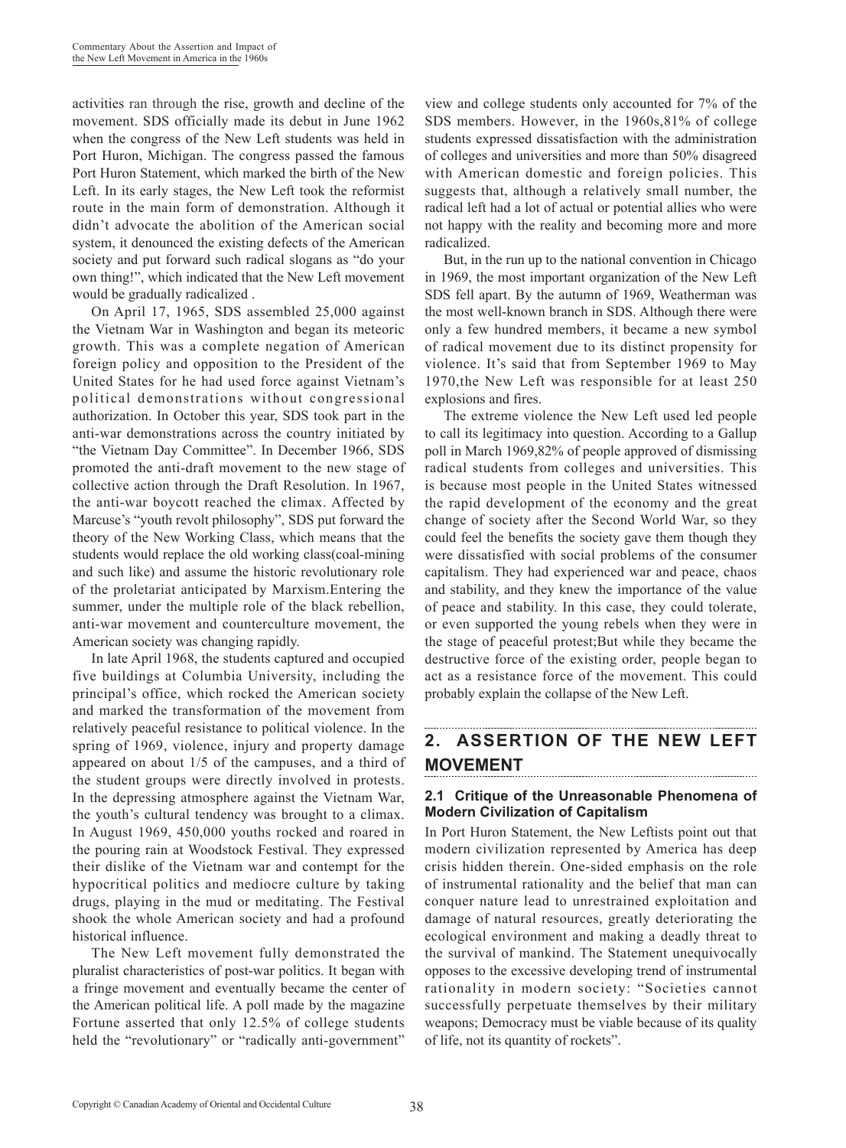activities ran through the rise, growth and decline of the movement. SDS officially made its debut in June 1962 when the congress of the New Left students was held in Port Huron, Michigan. The congress passed the famous Port Huron Statement, which marked the birth of the New Left. In its early stages, the New Left took the reformist route in the main form of demonstration. Although it didn't advocate the abolition of the American social system, it denounced the existing defects of the American society and put forward such radical slogans as "do your own thing!", which indicated that the New Left movement would be gradually radicalized .

On April 17, 1965, SDS assembled 25,000 against the Vietnam War in Washington and began its meteoric growth. This was a complete negation of American foreign policy and opposition to the President of the United States for he had used force against Vietnam's political demonstrations without congressional authorization. In October this year, SDS took part in the anti-war demonstrations across the country initiated by "the Vietnam Day Committee". In December 1966, SDS promoted the anti-draft movement to the new stage of collective action through the Draft Resolution. In 1967, the anti-war boycott reached the climax. Affected by Marcuse's "youth revolt philosophy", SDS put forward the theory of the New Working Class, which means that the students would replace the old working class(coal-mining and such like) and assume the historic revolutionary role of the proletariat anticipated by Marxism.Entering the summer, under the multiple role of the black rebellion, anti-war movement and counterculture movement, the American society was changing rapidly.

In late April 1968, the students captured and occupied five buildings at Columbia University, including the principal's office, which rocked the American society and marked the transformation of the movement from relatively peaceful resistance to political violence. In the spring of 1969, violence, injury and property damage appeared on about 1/5 of the campuses, and a third of the student groups were directly involved in protests. In the depressing atmosphere against the Vietnam War, the youth's cultural tendency was brought to a climax. In August 1969, 450,000 youths rocked and roared in the pouring rain at Woodstock Festival. They expressed their dislike of the Vietnam war and contempt for the hypocritical politics and mediocre culture by taking drugs, playing in the mud or meditating. The Festival shook the whole American society and had a profound historical influence.

The New Left movement fully demonstrated the pluralist characteristics of post-war politics. It began with a fringe movement and eventually became the center of the American political life. A poll made by the magazine Fortune asserted that only 12.5% of college students held the "revolutionary" or "radically anti-government"

view and college students only accounted for 7% of the SDS members. However, in the 1960s,81% of college students expressed dissatisfaction with the administration of colleges and universities and more than 50% disagreed with American domestic and foreign policies. This suggests that, although a relatively small number, the radical left had a lot of actual or potential allies who were not happy with the reality and becoming more and more radicalized.

But, in the run up to the national convention in Chicago in 1969, the most important organization of the New Left SDS fell apart. By the autumn of 1969, Weatherman was the most well-known branch in SDS. Although there were only a few hundred members, it became a new symbol of radical movement due to its distinct propensity for violence. It's said that from September 1969 to May 1970,the New Left was responsible for at least 250 explosions and fires.

The extreme violence the New Left used led people to call its legitimacy into question. According to a Gallup poll in March 1969,82% of people approved of dismissing radical students from colleges and universities. This is because most people in the United States witnessed the rapid development of the economy and the great change of society after the Second World War, so they could feel the benefits the society gave them though they were dissatisfied with social problems of the consumer capitalism. They had experienced war and peace, chaos and stability, and they knew the importance of the value of peace and stability. In this case, they could tolerate, or even supported the young rebels when they were in the stage of peaceful protest;But while they became the destructive force of the existing order, people began to act as a resistance force of the movement. This could probably explain the collapse of the New Left.

#### **2. ASSERTION OF THE NEW LEFT MOVEMENT**

### **2.1 Critique of the Unreasonable Phenomena of Modern Civilization of Capitalism**

In Port Huron Statement, the New Leftists point out that modern civilization represented by America has deep crisis hidden therein. One-sided emphasis on the role of instrumental rationality and the belief that man can conquer nature lead to unrestrained exploitation and damage of natural resources, greatly deteriorating the ecological environment and making a deadly threat to the survival of mankind. The Statement unequivocally opposes to the excessive developing trend of instrumental rationality in modern society: "Societies cannot successfully perpetuate themselves by their military weapons; Democracy must be viable because of its quality of life, not its quantity of rockets".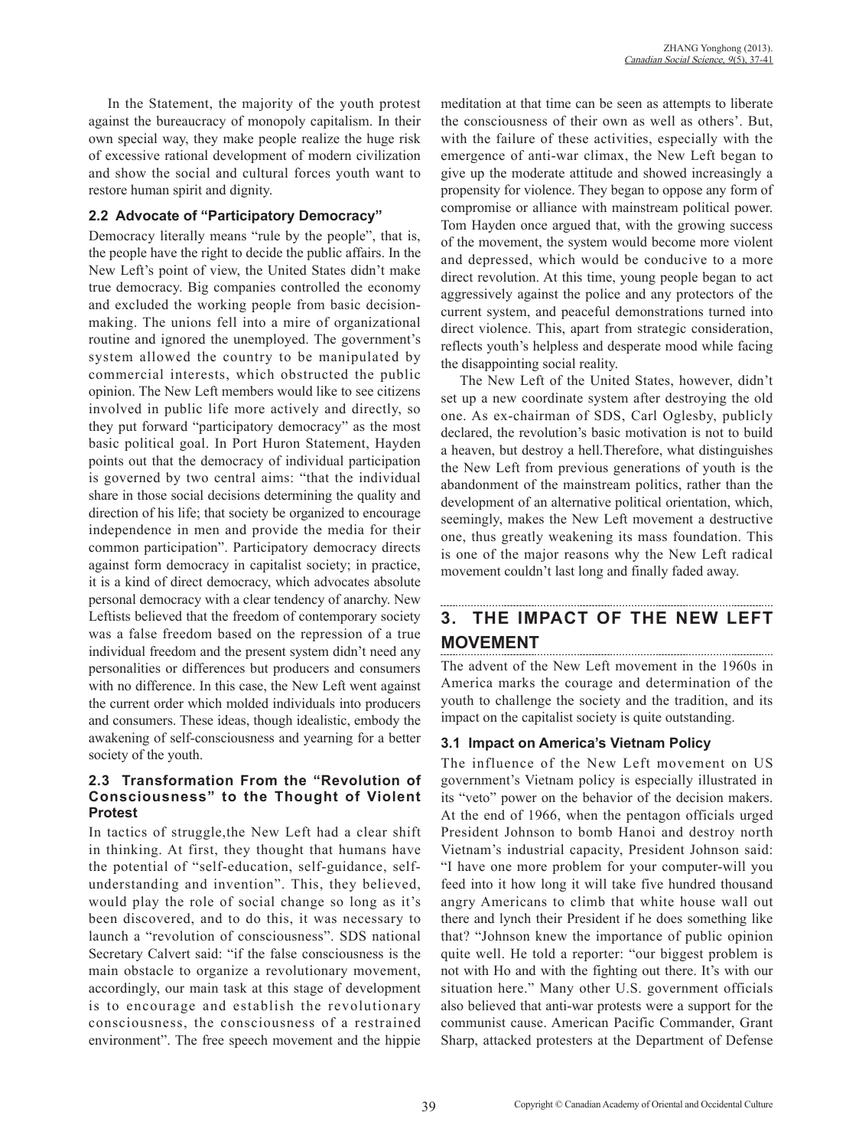In the Statement, the majority of the youth protest against the bureaucracy of monopoly capitalism. In their own special way, they make people realize the huge risk of excessive rational development of modern civilization and show the social and cultural forces youth want to restore human spirit and dignity.

### **2.2 Advocate of "Participatory Democracy"**

Democracy literally means "rule by the people", that is, the people have the right to decide the public affairs. In the New Left's point of view, the United States didn't make true democracy. Big companies controlled the economy and excluded the working people from basic decisionmaking. The unions fell into a mire of organizational routine and ignored the unemployed. The government's system allowed the country to be manipulated by commercial interests, which obstructed the public opinion. The New Left members would like to see citizens involved in public life more actively and directly, so they put forward "participatory democracy" as the most basic political goal. In Port Huron Statement, Hayden points out that the democracy of individual participation is governed by two central aims: "that the individual share in those social decisions determining the quality and direction of his life; that society be organized to encourage independence in men and provide the media for their common participation". Participatory democracy directs against form democracy in capitalist society; in practice, it is a kind of direct democracy, which advocates absolute personal democracy with a clear tendency of anarchy. New Leftists believed that the freedom of contemporary society was a false freedom based on the repression of a true individual freedom and the present system didn't need any personalities or differences but producers and consumers with no difference. In this case, the New Left went against the current order which molded individuals into producers and consumers. These ideas, though idealistic, embody the awakening of self-consciousness and yearning for a better society of the youth.

### **2.3 Transformation From the "Revolution of Consciousness" to the Thought of Violent Protest**

In tactics of struggle,the New Left had a clear shift in thinking. At first, they thought that humans have the potential of "self-education, self-guidance, selfunderstanding and invention". This, they believed, would play the role of social change so long as it's been discovered, and to do this, it was necessary to launch a "revolution of consciousness". SDS national Secretary Calvert said: "if the false consciousness is the main obstacle to organize a revolutionary movement, accordingly, our main task at this stage of development is to encourage and establish the revolutionary consciousness, the consciousness of a restrained environment". The free speech movement and the hippie meditation at that time can be seen as attempts to liberate the consciousness of their own as well as others'. But, with the failure of these activities, especially with the emergence of anti-war climax, the New Left began to give up the moderate attitude and showed increasingly a propensity for violence. They began to oppose any form of compromise or alliance with mainstream political power. Tom Hayden once argued that, with the growing success of the movement, the system would become more violent and depressed, which would be conducive to a more direct revolution. At this time, young people began to act aggressively against the police and any protectors of the current system, and peaceful demonstrations turned into direct violence. This, apart from strategic consideration, reflects youth's helpless and desperate mood while facing the disappointing social reality.

The New Left of the United States, however, didn't set up a new coordinate system after destroying the old one. As ex-chairman of SDS, Carl Oglesby, publicly declared, the revolution's basic motivation is not to build a heaven, but destroy a hell.Therefore, what distinguishes the New Left from previous generations of youth is the abandonment of the mainstream politics, rather than the development of an alternative political orientation, which, seemingly, makes the New Left movement a destructive one, thus greatly weakening its mass foundation. This is one of the major reasons why the New Left radical movement couldn't last long and finally faded away.

#### **3. THE IMPACT OF THE NEW LEFT MOVEMENT**

The advent of the New Left movement in the 1960s in America marks the courage and determination of the youth to challenge the society and the tradition, and its impact on the capitalist society is quite outstanding.

## **3.1 Impact on America's Vietnam Policy**

The influence of the New Left movement on US government's Vietnam policy is especially illustrated in its "veto" power on the behavior of the decision makers. At the end of 1966, when the pentagon officials urged President Johnson to bomb Hanoi and destroy north Vietnam's industrial capacity, President Johnson said: "I have one more problem for your computer-will you feed into it how long it will take five hundred thousand angry Americans to climb that white house wall out there and lynch their President if he does something like that? "Johnson knew the importance of public opinion quite well. He told a reporter: "our biggest problem is not with Ho and with the fighting out there. It's with our situation here." Many other U.S. government officials also believed that anti-war protests were a support for the communist cause. American Pacific Commander, Grant Sharp, attacked protesters at the Department of Defense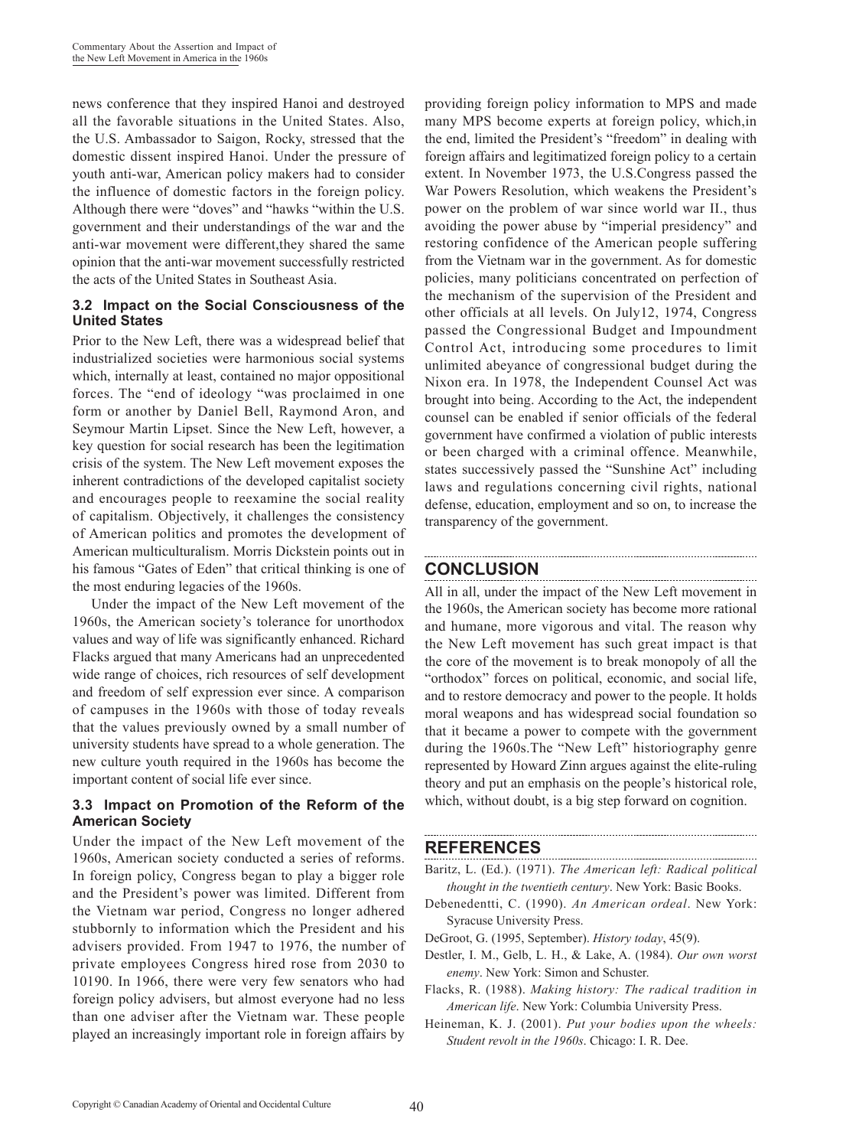news conference that they inspired Hanoi and destroyed all the favorable situations in the United States. Also, the U.S. Ambassador to Saigon, Rocky, stressed that the domestic dissent inspired Hanoi. Under the pressure of youth anti-war, American policy makers had to consider the influence of domestic factors in the foreign policy. Although there were "doves" and "hawks "within the U.S. government and their understandings of the war and the anti-war movement were different,they shared the same opinion that the anti-war movement successfully restricted the acts of the United States in Southeast Asia.

#### **3.2 Impact on the Social Consciousness of the United States**

Prior to the New Left, there was a widespread belief that industrialized societies were harmonious social systems which, internally at least, contained no major oppositional forces. The "end of ideology "was proclaimed in one form or another by Daniel Bell, Raymond Aron, and Seymour Martin Lipset. Since the New Left, however, a key question for social research has been the legitimation crisis of the system. The New Left movement exposes the inherent contradictions of the developed capitalist society and encourages people to reexamine the social reality of capitalism. Objectively, it challenges the consistency of American politics and promotes the development of American multiculturalism. Morris Dickstein points out in his famous "Gates of Eden" that critical thinking is one of the most enduring legacies of the 1960s.

Under the impact of the New Left movement of the 1960s, the American society's tolerance for unorthodox values and way of life was significantly enhanced. Richard Flacks argued that many Americans had an unprecedented wide range of choices, rich resources of self development and freedom of self expression ever since. A comparison of campuses in the 1960s with those of today reveals that the values previously owned by a small number of university students have spread to a whole generation. The new culture youth required in the 1960s has become the important content of social life ever since.

### **3.3 Impact on Promotion of the Reform of the American Society**

Under the impact of the New Left movement of the 1960s, American society conducted a series of reforms. In foreign policy, Congress began to play a bigger role and the President's power was limited. Different from the Vietnam war period, Congress no longer adhered stubbornly to information which the President and his advisers provided. From 1947 to 1976, the number of private employees Congress hired rose from 2030 to 10190. In 1966, there were very few senators who had foreign policy advisers, but almost everyone had no less than one adviser after the Vietnam war. These people played an increasingly important role in foreign affairs by

providing foreign policy information to MPS and made many MPS become experts at foreign policy, which,in the end, limited the President's "freedom" in dealing with foreign affairs and legitimatized foreign policy to a certain extent. In November 1973, the U.S.Congress passed the War Powers Resolution, which weakens the President's power on the problem of war since world war II., thus avoiding the power abuse by "imperial presidency" and restoring confidence of the American people suffering from the Vietnam war in the government. As for domestic policies, many politicians concentrated on perfection of the mechanism of the supervision of the President and other officials at all levels. On July12, 1974, Congress passed the Congressional Budget and Impoundment Control Act, introducing some procedures to limit unlimited abeyance of congressional budget during the Nixon era. In 1978, the Independent Counsel Act was brought into being. According to the Act, the independent counsel can be enabled if senior officials of the federal government have confirmed a violation of public interests or been charged with a criminal offence. Meanwhile, states successively passed the "Sunshine Act" including laws and regulations concerning civil rights, national defense, education, employment and so on, to increase the transparency of the government.

# **CONCLUSION**

All in all, under the impact of the New Left movement in the 1960s, the American society has become more rational and humane, more vigorous and vital. The reason why the New Left movement has such great impact is that the core of the movement is to break monopoly of all the "orthodox" forces on political, economic, and social life, and to restore democracy and power to the people. It holds moral weapons and has widespread social foundation so that it became a power to compete with the government during the 1960s.The "New Left" historiography genre represented by Howard Zinn argues against the elite-ruling theory and put an emphasis on the people's historical role, which, without doubt, is a big step forward on cognition.

## **REFERENCES**

Baritz, L. (Ed.). (1971). *The American left: Radical political thought in the twentieth century*. New York: Basic Books.

- Debenedentti, C. (1990). *An American ordeal*. New York: Syracuse University Press.
- DeGroot, G. (1995, September). *History today*, 45(9).
- Destler, I. M., Gelb, L. H., & Lake, A. (1984). *Our own worst enemy*. New York: Simon and Schuster.
- Flacks, R. (1988). *Making history: The radical tradition in American life*. New York: Columbia University Press.
- Heineman, K. J. (2001). *Put your bodies upon the wheels: Student revolt in the 1960s*. Chicago: I. R. Dee.